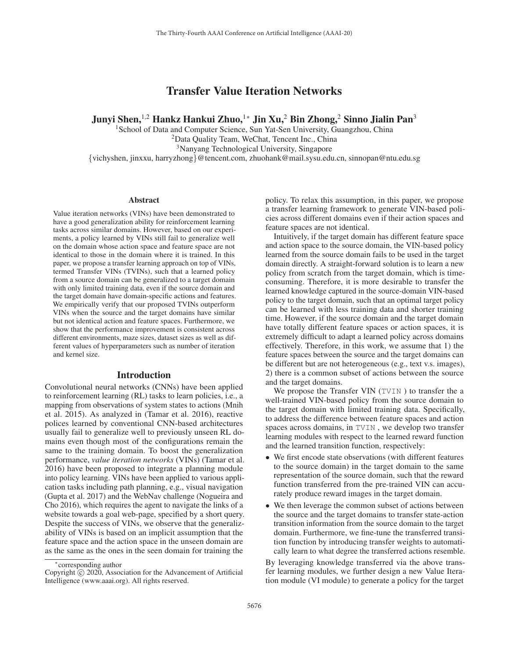# Transfer Value Iteration Networks

Junyi Shen,<sup>1,2</sup> Hankz Hankui Zhuo,<sup>1∗</sup> Jin Xu,<sup>2</sup> Bin Zhong,<sup>2</sup> Sinno Jialin Pan<sup>3</sup>

<sup>1</sup>School of Data and Computer Science, Sun Yat-Sen University, Guangzhou, China <sup>2</sup>Data Quality Team, WeChat, Tencent Inc., China 3Nanyang Technological University, Singapore {vichyshen, jinxxu, harryzhong}@tencent.com, zhuohank@mail.sysu.edu.cn, sinnopan@ntu.edu.sg

#### **Abstract**

Value iteration networks (VINs) have been demonstrated to have a good generalization ability for reinforcement learning tasks across similar domains. However, based on our experiments, a policy learned by VINs still fail to generalize well on the domain whose action space and feature space are not identical to those in the domain where it is trained. In this paper, we propose a transfer learning approach on top of VINs, termed Transfer VINs (TVINs), such that a learned policy from a source domain can be generalized to a target domain with only limited training data, even if the source domain and the target domain have domain-specific actions and features. We empirically verify that our proposed TVINs outperform VINs when the source and the target domains have similar but not identical action and feature spaces. Furthermore, we show that the performance improvement is consistent across different environments, maze sizes, dataset sizes as well as different values of hyperparameters such as number of iteration and kernel size.

### Introduction

Convolutional neural networks (CNNs) have been applied to reinforcement learning (RL) tasks to learn policies, i.e., a mapping from observations of system states to actions (Mnih et al. 2015). As analyzed in (Tamar et al. 2016), reactive polices learned by conventional CNN-based architectures usually fail to generalize well to previously unseen RL domains even though most of the configurations remain the same to the training domain. To boost the generalization performance, *value iteration networks* (VINs) (Tamar et al. 2016) have been proposed to integrate a planning module into policy learning. VINs have been applied to various application tasks including path planning, e.g., visual navigation (Gupta et al. 2017) and the WebNav challenge (Nogueira and Cho 2016), which requires the agent to navigate the links of a website towards a goal web-page, specified by a short query. Despite the success of VINs, we observe that the generalizability of VINs is based on an implicit assumption that the feature space and the action space in the unseen domain are as the same as the ones in the seen domain for training the

policy. To relax this assumption, in this paper, we propose a transfer learning framework to generate VIN-based policies across different domains even if their action spaces and feature spaces are not identical.

Intuitively, if the target domain has different feature space and action space to the source domain, the VIN-based policy learned from the source domain fails to be used in the target domain directly. A straight-forward solution is to learn a new policy from scratch from the target domain, which is timeconsuming. Therefore, it is more desirable to transfer the learned knowledge captured in the source-domain VIN-based policy to the target domain, such that an optimal target policy can be learned with less training data and shorter training time. However, if the source domain and the target domain have totally different feature spaces or action spaces, it is extremely difficult to adapt a learned policy across domains effectively. Therefore, in this work, we assume that 1) the feature spaces between the source and the target domains can be different but are not heterogeneous (e.g., text v.s. images), 2) there is a common subset of actions between the source and the target domains.

We propose the Transfer VIN (TVIN) to transfer the a well-trained VIN-based policy from the source domain to the target domain with limited training data. Specifically, to address the difference between feature spaces and action spaces across domains, in TVIN , we develop two transfer learning modules with respect to the learned reward function and the learned transition function, respectively:

- We first encode state observations (with different features to the source domain) in the target domain to the same representation of the source domain, such that the reward function transferred from the pre-trained VIN can accurately produce reward images in the target domain.
- We then leverage the common subset of actions between the source and the target domains to transfer state-action transition information from the source domain to the target domain. Furthermore, we fine-tune the transferred transition function by introducing transfer weights to automatically learn to what degree the transferred actions resemble.

By leveraging knowledge transferred via the above transfer learning modules, we further design a new Value Iteration module (VI module) to generate a policy for the target

<sup>∗</sup>corresponding author

Copyright  $\odot$  2020, Association for the Advancement of Artificial Intelligence (www.aaai.org). All rights reserved.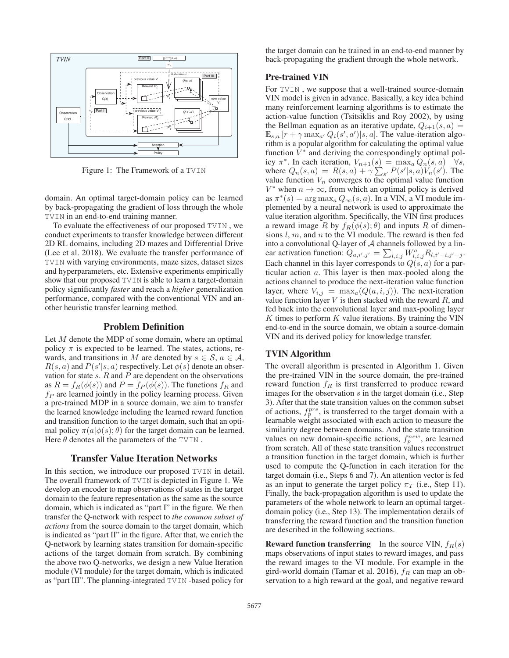

Figure 1: The Framework of a TVIN

domain. An optimal target-domain policy can be learned by back-propagating the gradient of loss through the whole TVIN in an end-to-end training manner.

To evaluate the effectiveness of our proposed TVIN , we conduct experiments to transfer knowledge between different 2D RL domains, including 2D mazes and Differential Drive (Lee et al. 2018). We evaluate the transfer performance of TVIN with varying environments, maze sizes, dataset sizes and hyperparameters, etc. Extensive experiments empirically show that our proposed TVIN is able to learn a target-domain policy significantly *faster* and reach a *higher* generalization performance, compared with the conventional VIN and another heuristic transfer learning method.

### Problem Definition

Let M denote the MDP of some domain, where an optimal policy  $\pi$  is expected to be learned. The states, actions, rewards, and transitions in M are denoted by  $s \in \mathcal{S}$ ,  $a \in \mathcal{A}$ ,  $R(s, a)$  and  $P(s'|s, a)$  respectively. Let  $\phi(s)$  denote an observation for state s R and P are dependent on the observations vation for state  $s$ .  $R$  and  $P$  are dependent on the observations as  $R = f_R(\phi(s))$  and  $P = f_P(\phi(s))$ . The functions  $f_R$  and  $f_P$  are learned jointly in the policy learning process. Given a pre-trained MDP in a source domain, we aim to transfer the learned knowledge including the learned reward function and transition function to the target domain, such that an optimal policy  $\pi(a|\phi(s); \theta)$  for the target domain can be learned. Here  $\theta$  denotes all the parameters of the TVIN.

#### Transfer Value Iteration Networks

In this section, we introduce our proposed TVIN in detail. The overall framework of TVIN is depicted in Figure 1. We develop an encoder to map observations of states in the target domain to the feature representation as the same as the source domain, which is indicated as "part I" in the figure. We then transfer the Q-network with respect to *the common subset of actions* from the source domain to the target domain, which is indicated as "part II" in the figure. After that, we enrich the Q-network by learning states transition for domain-specific actions of the target domain from scratch. By combining the above two Q-networks, we design a new Value Iteration module (VI module) for the target domain, which is indicated as "part III". The planning-integrated TVIN -based policy for

the target domain can be trained in an end-to-end manner by back-propagating the gradient through the whole network.

## Pre-trained VIN

For TVIN, we suppose that a well-trained source-domain VIN model is given in advance. Basically, a key idea behind many reinforcement learning algorithms is to estimate the action-value function (Tsitsiklis and Roy 2002), by using the Bellman equation as an iterative update,  $Q_{i+1}(s, a) =$  $\mathbb{E}_{s,a}$   $[r + \gamma \max_{a'} Q_i(s', a') | s, a]$ . The value-iteration algo-<br>rithm is a nopular algorithm for calculating the optimal value rithm is a popular algorithm for calculating the optimal value function  $V^*$  and deriving the correspondingly optimal policy  $\pi^*$ . In each iteration,  $V_{n+1}(s) = \max_a Q_n(s, a) \quad \forall s$ ,<br>where  $Q_n(s, a) = B(s, a) + \gamma \sum_{n=1}^{\infty} P(s'|s, a) V_n(s')$ . The where  $Q_n(s, a) = R(s, a) + \gamma \sum_{s'} P(s'|s, a) V_n(s')$ . The value function  $V_n$  converges to the optimal value function value function  $V_n$  converges to the optimal value function  $V^*$  when  $n \to \infty$ , from which an optimal policy is derived as  $\pi^*(s) = \arg \max_a Q_\infty(s, a)$ . In a VIN, a VI module implemented by a neural network is used to approximate the value iteration algorithm. Specifically, the VIN first produces a reward image R by  $f_R(\phi(s); \theta)$  and inputs R of dimensions  $l, m$ , and  $n$  to the VI module. The reward is then fed into a convolutional Q-layer of  $A$  channels followed by a linear activation function:  $Q_{a,i',j'} = \sum_{l,i,j} W_{l,i,j}^a R_{l,i'-i,j'-j}$ .<br>Each channel in this layer corresponds to  $Q(a,a)$  for a par-Each channel in this layer corresponds to  $Q(s, a)$  for a particular action a. This layer is then max-pooled along the actions channel to produce the next-iteration value function layer, where  $V_{i,j} = \max_a (Q(a, i, j))$ . The next-iteration value function layer  $V$  is then stacked with the reward  $R$ , and fed back into the convolutional layer and max-pooling layer K times to perform  $K$  value iterations. By training the VIN end-to-end in the source domain, we obtain a source-domain VIN and its derived policy for knowledge transfer.

#### TVIN Algorithm

The overall algorithm is presented in Algorithm 1. Given the pre-trained VIN in the source domain, the pre-trained reward function  $f_R$  is first transferred to produce reward images for the observation  $s$  in the target domain (i.e., Step 3). After that the state transition values on the common subset of actions,  $f_p^{pre}$ , is transferred to the target domain with a learnable weight associated with each action to measure the similarity degree between domains. And the state transition values on new domain-specific actions,  $f_p^{new}$ , are learned from scratch. All of these state transition values reconstruct a transition function in the target domain, which is further used to compute the Q-function in each iteration for the target domain (i.e., Steps 6 and 7). An attention vector is fed as an input to generate the target policy  $\pi_T$  (i.e., Step 11). Finally, the back-propagation algorithm is used to update the parameters of the whole network to learn an optimal targetdomain policy (i.e., Step 13). The implementation details of transferring the reward function and the transition function are described in the following sections.

**Reward function transferring** In the source VIN,  $f_R(s)$ maps observations of input states to reward images, and pass the reward images to the VI module. For example in the gird-world domain (Tamar et al. 2016),  $f_R$  can map an observation to a high reward at the goal, and negative reward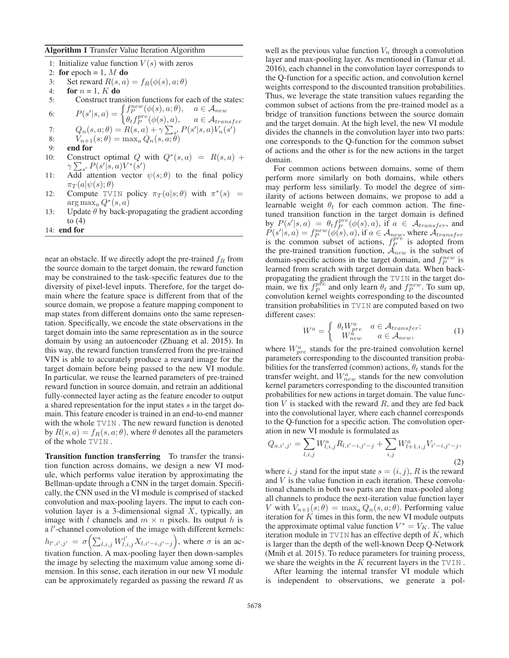#### Algorithm 1 Transfer Value Iteration Algorithm

- 1: Initialize value function  $V(s)$  with zeros 2: for epoch = 1,  $M$  do
- 3: Set reward  $R(s, a) = f_R(\phi(s), a; \theta)$ <br>4: **for**  $n = 1, K$  **do**
- for  $n = 1, K$  do
- 5: Construct transition functions for each of the states:  $[s, a] = \begin{cases} f_P^{new}(\phi(s), a; \theta), & a \in \mathcal{A}_{new} \\ \theta_t f_P^{pre}(\phi(s), a), & a \in \mathcal{A}_{transfer} \\ \theta_s, a; \theta = B(s, a) + \alpha \sum_{s'} P(s'|s, a) V_s(s') \end{cases}$
- 6:  $P(s'$

7: 
$$
Q_n(s, a; \theta) = R(s, a) + \gamma \sum_{s'} P(s'|s, a) V_n(s')
$$
  
8: 
$$
V_{n+1}(s; \theta) = \max_a Q_n(s, a; \theta)
$$
  
9: end for

- 
- 9: end for
- 10: Construct optimal Q with  $Q^*(s, a) = R(s, a) +$  $\gamma \sum_{s'} P(s'|s, a) V^*(s'$ <br>Add attention vector
- 11: Add attention vector  $\psi(s;\theta)$  to the final policy  $\pi_{\mathcal{F}}(a|\psi(s)\cdot\theta)$  $\pi_T(a|\psi(s); \theta)$
- 12: Compute TVIN policy  $\pi_T(a|s;\theta)$  with  $\pi^*(s)$  =  $arg max_a Q^*(s, a)$
- 13: Update  $\theta$  by back-propagating the gradient according to  $(4)$
- 14: end for

near an obstacle. If we directly adopt the pre-trained  $f_R$  from the source domain to the target domain, the reward function may be constrained to the task-specific features due to the diversity of pixel-level inputs. Therefore, for the target domain where the feature space is different from that of the source domain, we propose a feature mapping component to map states from different domains onto the same representation. Specifically, we encode the state observations in the target domain into the same representation as in the source domain by using an autoencoder (Zhuang et al. 2015). In this way, the reward function transferred from the pre-trained VIN is able to accurately produce a reward image for the target domain before being passed to the new VI module. In particular, we reuse the learned parameters of pre-trained reward function in source domain, and retrain an additional fully-connected layer acting as the feature encoder to output a shared representation for the input states s in the target domain. This feature encoder is trained in an end-to-end manner with the whole TVIN . The new reward function is denoted by  $R(s, a) = f_R(s, a; \theta)$ , where  $\theta$  denotes all the parameters of the whole TVIN .

Transition function transferring To transfer the transition function across domains, we design a new VI module, which performs value iteration by approximating the Bellman-update through a CNN in the target domain. Specifically, the CNN used in the VI module is comprised of stacked convolution and max-pooling layers. The input to each convolution layer is a 3-dimensional signal  $X$ , typically, an image with *l* channels and  $m \times n$  pixels. Its output *h* is a l'-channel convolution of the image with different kernels:  $h_{l',i',j'} = \sigma\left(\sum_{l,i,j} W^{l'}_{l,i,j} X_{l,i'-i,j'-j}\right)$ , where  $\sigma$  is an activation function. A max-pooling layer then down-samples the image by selecting the maximum value among some dimension. In this sense, each iteration in our new VI module can be approximately regarded as passing the reward  $R$  as well as the previous value function  $V_n$  through a convolution layer and max-pooling layer. As mentioned in (Tamar et al. 2016), each channel in the convolution layer corresponds to the Q-function for a specific action, and convolution kernel weights correspond to the discounted transition probabilities. Thus, we leverage the state transition values regarding the common subset of actions from the pre-trained model as a bridge of transition functions between the source domain and the target domain. At the high level, the new VI module divides the channels in the convolution layer into two parts: one corresponds to the Q-function for the common subset of actions and the other is for the new actions in the target domain.

For common actions between domains, some of them perform more similarly on both domains, while others may perform less similarly. To model the degree of similarity of actions between domains, we propose to add a learnable weight  $\theta_t$  for each common action. The finetuned transition function in the target domain is defined by  $P(s'|s, a) = \theta_t f_p^{pre}(\phi(s), a)$ , if  $a \in \mathcal{A}_{transfer}$ , and  $P(s'|s, a) = f_n^{new}(\phi(s), a)$  if  $a \in \mathcal{A}_{source}$  where  $\mathcal{A}_{transfer}$  $P(s'|s, a) = f_P^{new}(\phi(s), a)$ , if  $a \in \mathcal{A}_{new}$ , where  $\mathcal{A}_{transfer}$  is the common subset of actions,  $f_P^{pre}$  is adopted from the pre-trained transition function,  $\hat{\mathcal{A}}_{new}$  is the subset of domain-specific actions in the target domain, and  $f_P^{new}$  is learned from scratch with target domain data. When backpropagating the gradient through the TVIN in the target domain, we fix  $f_P^{pre}$  and only learn  $\theta_t$  and  $f_P^{new}$ . To sum up, convolution kernel weights corresponding to the discounted transition probabilities in TVIN are computed based on two different cases:

$$
W^{a} = \begin{cases} \theta_{t} W_{pre}^{a} & a \in \mathcal{A}_{transfer}; \\ W_{new}^{a} & a \in \mathcal{A}_{new}, \end{cases}
$$
 (1)

where  $W_{pre}^a$  stands for the pre-trained convolution kernel parameters corresponding to the discounted transition probabilities for the transferred (common) actions,  $\theta_t$  stands for the transfer weight, and  $W_{new}^a$  stands for the new convolution kernel parameters corresponding to the discounted transition probabilities for new actions in target domain. The value function  $V$  is stacked with the reward  $R$ , and they are fed back into the convolutional layer, where each channel corresponds to the Q-function for a specific action. The convolution operation in new VI module is formulated as

$$
Q_{a,i',j'} = \sum_{l,i,j} W_{l,i,j}^a R_{l,i'-i,j'-j} + \sum_{i,j} W_{l+1,i,j}^a V_{i'-i,j'-j},
$$
\n(2)

where i, j stand for the input state  $s = (i, j)$ , R is the reward and  $V$  is the value function in each iteration. These convolutional channels in both two parts are then max-pooled along all channels to produce the next-iteration value function layer V with  $V_{n+1}(s;\theta) = \max_a Q_n(s,a;\theta)$ . Performing value iteration for  $K$  times in this form, the new VI module outputs the approximate optimal value function  $V^* = V_K$ . The value iteration module in  $TVIN$  has an effective depth of  $K$ , which is larger than the depth of the well-known Deep Q-Network (Mnih et al. 2015). To reduce parameters for training process, we share the weights in the  $K$  recurrent layers in the TVIN.

After learning the internal transfer VI module which is independent to observations, we generate a pol-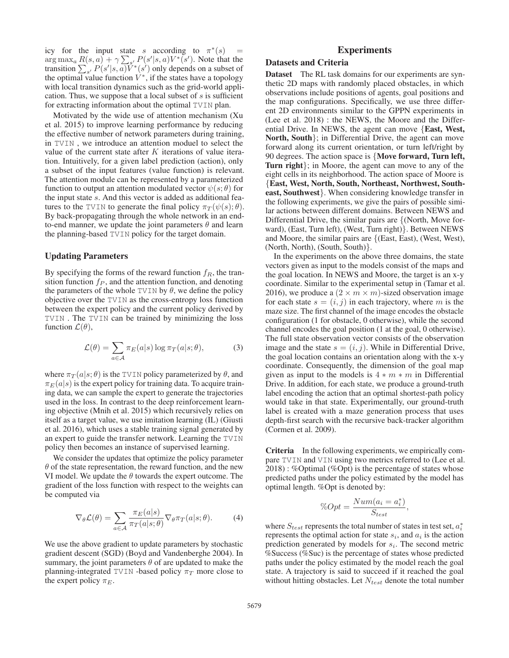icy for the input state s according to  $\pi^*(s)$  =<br>arg max,  $R(s, a) + \gamma \sum P(s'|s, a)V^*(s')$  Note that the arg max<sub>a</sub>  $R(s, a) + \gamma \sum_{s'} P(s'|s, a)V^*(s')$ . Note that the transition  $\sum_{s'} P(s'|s, a)V^*(s')$  only depends on a subset of the optimal value function  $V^*$ , if the states have a topology with local transition dynamics such as the grid-world application. Thus, we suppose that a local subset of s is sufficient for extracting information about the optimal TVIN plan.

Motivated by the wide use of attention mechanism (Xu et al. 2015) to improve learning performance by reducing the effective number of network parameters during training, in TVIN , we introduce an attention moduel to select the value of the current state after  $K$  iterations of value iteration. Intuitively, for a given label prediction (action), only a subset of the input features (value function) is relevant. The attention module can be represented by a parameterized function to output an attention modulated vector  $\psi(s; \theta)$  for the input state s. And this vector is added as additional features to the TVIN to generate the final policy  $\pi_T(\psi(s); \theta)$ . By back-propagating through the whole network in an endto-end manner, we update the joint parameters  $\theta$  and learn the planning-based TVIN policy for the target domain.

#### Updating Parameters

By specifying the forms of the reward function  $f_R$ , the transition function  $f_P$ , and the attention function, and denoting the parameters of the whole TVIN by  $\theta$ , we define the policy objective over the TVIN as the cross-entropy loss function between the expert policy and the current policy derived by TVIN . The TVIN can be trained by minimizing the loss function  $\mathcal{L}(\theta)$ ,

$$
\mathcal{L}(\theta) = \sum_{a \in \mathcal{A}} \pi_E(a|s) \log \pi_T(a|s; \theta), \tag{3}
$$

where  $\pi_T(a|s; \theta)$  is the TVIN policy parameterized by  $\theta$ , and  $\pi_E(a|s)$  is the expert policy for training data. To acquire training data, we can sample the expert to generate the trajectories used in the loss. In contrast to the deep reinforcement learning objective (Mnih et al. 2015) which recursively relies on itself as a target value, we use imitation learning (IL) (Giusti et al. 2016), which uses a stable training signal generated by an expert to guide the transfer network. Learning the TVIN policy then becomes an instance of supervised learning.

We consider the updates that optimize the policy parameter  $\theta$  of the state representation, the reward function, and the new VI model. We update the  $\theta$  towards the expert outcome. The gradient of the loss function with respect to the weights can be computed via

$$
\nabla_{\theta} \mathcal{L}(\theta) = \sum_{a \in \mathcal{A}} \frac{\pi_E(a|s)}{\pi_T(a|s;\theta)} \nabla_{\theta} \pi_T(a|s;\theta). \tag{4}
$$

We use the above gradient to update parameters by stochastic gradient descent (SGD) (Boyd and Vandenberghe 2004). In summary, the joint parameters  $\theta$  of are updated to make the planning-integrated TVIN -based policy  $\pi_T$  more close to the expert policy  $\pi_E$ .

## **Experiments**

## Datasets and Criteria

**Dataset** The RL task domains for our experiments are synthetic 2D maps with randomly placed obstacles, in which observations include positions of agents, goal positions and the map configurations. Specifically, we use three different 2D environments similar to the GPPN experiments in (Lee et al. 2018) : the NEWS, the Moore and the Differential Drive. In NEWS, the agent can move {East, West, North, South}; in Differential Drive, the agent can move forward along its current orientation, or turn left/right by 90 degrees. The action space is {Move forward, Turn left, Turn right}; in Moore, the agent can move to any of the eight cells in its neighborhood. The action space of Moore is {East, West, North, South, Northeast, Northwest, Southeast, Southwest}. When considering knowledge transfer in the following experiments, we give the pairs of possible similar actions between different domains. Between NEWS and Differential Drive, the similar pairs are {(North, Move forward), (East, Turn left), (West, Turn right)}. Between NEWS and Moore, the similar pairs are {(East, East), (West, West), (North, North), (South, South)}.

In the experiments on the above three domains, the state vectors given as input to the models consist of the maps and the goal location. In NEWS and Moore, the target is an x-y coordinate. Similar to the experimental setup in (Tamar et al. 2016), we produce a  $(2 \times m \times m)$ -sized observation image for each state  $s = (i, j)$  in each trajectory, where m is the maze size. The first channel of the image encodes the obstacle configuration (1 for obstacle, 0 otherwise), while the second channel encodes the goal position (1 at the goal, 0 otherwise). The full state observation vector consists of the observation image and the state  $s = (i, j)$ . While in Differential Drive, the goal location contains an orientation along with the x-y coordinate. Consequently, the dimension of the goal map given as input to the models is  $4 * m * m$  in Differential Drive. In addition, for each state, we produce a ground-truth label encoding the action that an optimal shortest-path policy would take in that state. Experimentally, our ground-truth label is created with a maze generation process that uses depth-first search with the recursive back-tracker algorithm (Cormen et al. 2009).

Criteria In the following experiments, we empirically compare TVIN and VIN using two metrics referred to (Lee et al. 2018) : %Optimal (%Opt) is the percentage of states whose predicted paths under the policy estimated by the model has optimal length. %Opt is denoted by:

$$
\%Opt = \frac{Num(a_i = a_i^*)}{S_{test}},
$$

where  $S_{test}$  represents the total number of states in test set,  $a_i^*$ represents the optimal action for state  $s_i$ , and  $a_i$  is the action prediction generated by models for  $s_i$ . The second metric %Success (%Suc) is the percentage of states whose predicted paths under the policy estimated by the model reach the goal state. A trajectory is said to succeed if it reached the goal without hitting obstacles. Let  $N_{test}$  denote the total number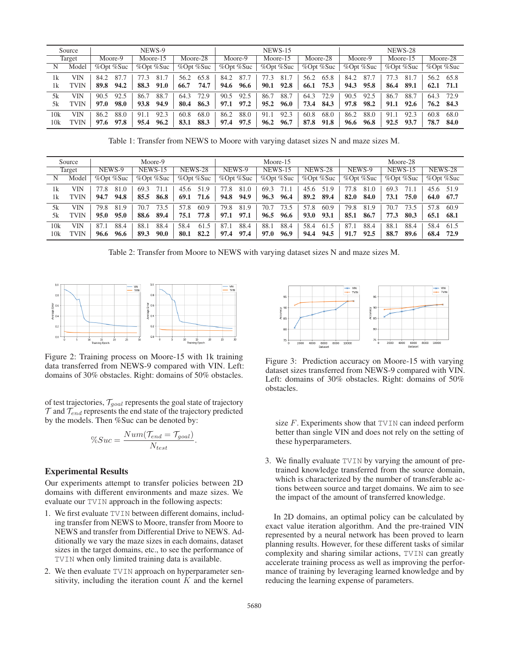|        | Source      | NEWS-9                       |      |                                           |      | <b>NEWS-15</b>                 |      |                 |         |                   | NEWS-28  |           |          |         |      |          |      |          |        |
|--------|-------------|------------------------------|------|-------------------------------------------|------|--------------------------------|------|-----------------|---------|-------------------|----------|-----------|----------|---------|------|----------|------|----------|--------|
| Target |             | Moore-9                      |      | Moore-15                                  |      | Moore-28                       |      |                 | Moore-9 |                   | Moore-15 |           | Moore-28 | Moore-9 |      | Moore-15 |      | Moore-28 |        |
| Ν      | Model       | %Opt %Suc<br>$%$ Opt $%$ Suc |      | $\%$ Opt $\overline{\%}$ Suc<br>%Opt %Suc |      | $\%$ Opt $\%$ Suc<br>%Opt %Suc |      | $%$ Opt $%$ Suc |         | $\%$ Opt $\%$ Suc |          | %Opt %Suc |          |         |      |          |      |          |        |
| 1k     | VIN         | 84.2                         | 87.  |                                           | 81.7 | 56.2                           | 65.8 | 84.2            | 87.7    | 77.3              | 81.7     | 56.2      | 65.8     | 84.2    | 87.7 | 77.3     | 81.7 | 56.2     | 65.8   |
| 1k     | <b>TVIN</b> | 89.8                         | 94.2 | 88.3                                      | 91.0 | 66.7                           | 74.7 | 94.6            | 96.6    | 90.1              | 92.8     | 66.1      | 75.3     | 94.3    | 95.8 | 86.4     | 89.1 | 62.1     | - 71.1 |
| 5k     | VIN         | 90.5                         | 92.5 | 86.7                                      | 88.7 | 64.3                           | 72.9 | 90.5            | 92.5    | 86.7              | 88.7     | 64.3      | 72.9     | 90.5    | 92.5 | 86.7     | 88.7 | 64.3     | 72.9   |
| 5k     | TVIN        | 97.0                         | 98.0 | 93.8                                      | 94.9 | 80.4                           | 86.3 | 97.1            | 97.2    | 95.2              | 96.0     | 73.4      | 84.3     | 97.8    | 98.2 | 91.1     | 92.6 | 76.2     | 84.3   |
| 10k    | VIN         | 86.2                         | 88.0 | 91.1                                      | 92.3 | 60.8                           | 68.0 | 86.2            | 88.0    | 91.1              | 92.3     | 60.8      | 68.0     | 86.2    | 88.0 | 91.1     | 92.3 | 60.8     | 68.0   |
| 10k    | <b>TVIN</b> | 97.6                         | 97.8 | 95.4                                      | 96.2 | 83.1                           | 88.3 | 97.4            | 97.5    | 96.2              | 96.7     | 87.8      | 91.8     | 96.6    | 96.8 | 92.5     | 93.7 | 78.7     | 84.0   |

Table 1: Transfer from NEWS to Moore with varying dataset sizes N and maze sizes M.

| Moore-9<br>Source |       |           |      |         | Moore-15  |         |                 |        |           | Moore-28       |           |         |           |        |           |                |           |           |      |
|-------------------|-------|-----------|------|---------|-----------|---------|-----------------|--------|-----------|----------------|-----------|---------|-----------|--------|-----------|----------------|-----------|-----------|------|
| Target            |       | NEWS-9    |      | NEWS-15 |           | NEWS-28 |                 | NEWS-9 |           | <b>NEWS-15</b> |           | NEWS-28 |           | NEWS-9 |           | <b>NEWS-15</b> |           | NEWS-28   |      |
| Ν                 | Model | %Opt %Suc |      |         | %Opt %Suc |         | $%$ Opt $%$ Suc |        | %Opt %Suc |                | %Opt %Suc |         | %Opt %Suc |        | %Opt %Suc |                | %Opt %Suc | %Opt %Suc |      |
| 1k                | VIN   | 77.8      | 81.0 | 69.3    | 71.1      | 45.6    | 51.9            | 77.8   | 81.0      | 69.3           | 71.1      | 45.6    | 51.9      | 77.8   | 81.0      | 69.3           | 71.1      | 45.6 51.9 |      |
| 1k                | TVIN  | 94.7      | 94.8 | 85.5    | 86.8      | 69.1    | 71.6            | 94.8   | 94.9      | 96.3           | 96.4      | 89.2    | 89.4      | 82.0   | 84.0      | 73.1           | 75.0      | 64.0      | 67.7 |
| 5k                | VIN   | 79.8      | 81.9 | 70.7    | 73.5      | 57.8    | 60.9            | 79.8   | 81.9      | 70.7           | 73.5      | 57.8    | 60.9      | 79.8   | 81.9      | 70.7           | 73.5      | 57.8      | 60.9 |
| 5k                | TVIN  | 95.0      | 95.0 | 88.6    | 89.4      | 75.1    | 77.8            | 97.1   | 97.1      | 96.5           | 96.6      | 93.0    | 93.1      | 85.1   | 86.7      | 77.3           | 80.3      | 65.1      | 68.1 |
| 10k               | VIN   | 87.1      | 88.4 | 88.1    | 88.4      | 58.4    | 61.5            | 87.1   | 88.4      | 88.1           | 88.4      | 58.4    | 61.5      | 87.1   | 88.4      | 88.1           | 88.4      | 58.4      | 61.5 |
| 10k               | TVIN  | 96.6      | 96.6 | 89.3    | 90.0      | 80.1    | 82.2            | 97.4   | 97.4      | 97.0           | 96.9      | 94.4    | 94.5      | 91.7   | 92.5      | 88.7           | 89.6      | 68.4      | 72.9 |

Table 2: Transfer from Moore to NEWS with varying dataset sizes N and maze sizes M.



Figure 2: Training process on Moore-15 with 1k training data transferred from NEWS-9 compared with VIN. Left: domains of 30% obstacles. Right: domains of 50% obstacles.

of test trajectories,  $T_{goal}$  represents the goal state of trajectory  $T$  and  $T_{end}$  represents the end state of the trajectory predicted by the models. Then %Suc can be denoted by:

$$
\%Suc = \frac{Num(\mathcal{T}_{end} = \mathcal{T}_{goal})}{N_{test}}.
$$

# Experimental Results

Our experiments attempt to transfer policies between 2D domains with different environments and maze sizes. We evaluate our TVIN approach in the following aspects:

- 1. We first evaluate TVIN between different domains, including transfer from NEWS to Moore, transfer from Moore to NEWS and transfer from Differential Drive to NEWS. Additionally we vary the maze sizes in each domains, dataset sizes in the target domains, etc., to see the performance of TVIN when only limited training data is available.
- 2. We then evaluate TVIN approach on hyperparameter sensitivity, including the iteration count  $K$  and the kernel



Figure 3: Prediction accuracy on Moore-15 with varying dataset sizes transferred from NEWS-9 compared with VIN. Left: domains of 30% obstacles. Right: domains of 50% obstacles.

size  $F$ . Experiments show that TVIN can indeed perform better than single VIN and does not rely on the setting of these hyperparameters.

3. We finally evaluate TVIN by varying the amount of pretrained knowledge transferred from the source domain, which is characterized by the number of transferable actions between source and target domains. We aim to see the impact of the amount of transferred knowledge.

In 2D domains, an optimal policy can be calculated by exact value iteration algorithm. And the pre-trained VIN represented by a neural network has been proved to learn planning results. However, for these different tasks of similar complexity and sharing similar actions, TVIN can greatly accelerate training process as well as improving the performance of training by leveraging learned knowledge and by reducing the learning expense of parameters.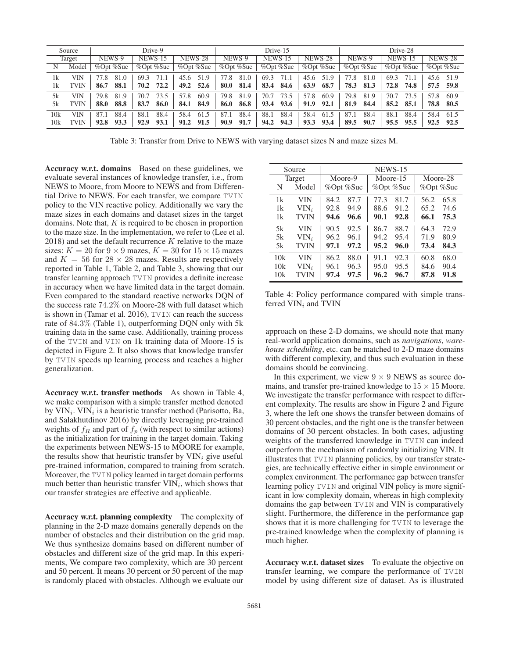| Drive-9<br>Source |             |                              |              | Drive-15          |              | Drive-28     |                |              |                 |                |  |
|-------------------|-------------|------------------------------|--------------|-------------------|--------------|--------------|----------------|--------------|-----------------|----------------|--|
| Target            |             | NEWS-9<br><b>NEWS-15</b>     |              | <b>NEWS-28</b>    | NEWS-9       | NEWS-15      | <b>NEWS-28</b> | NEWS-9       | NEWS-15         | <b>NEWS-28</b> |  |
| Ν                 | Model       | $%$ Opt $%$ Suc<br>%Opt %Suc |              | $\%$ Opt $\%$ Suc | %Opt %Suc    |              | %Opt %Suc      | %Opt %Suc    | $%$ Opt $%$ Suc | %Opt %Suc      |  |
| 1k                | VIN         | 77.8<br>81.0                 | 71.1<br>69.3 | 45.6<br>51.9      | 77.8<br>81.0 | 69.3<br>71.1 | 45.6<br>51.9   | 77.8<br>81.0 | 69.3<br>71.1    | 45.6<br>51.9   |  |
| 1k                | TVIN        | 88.1<br>86.7                 | 72.2<br>70.2 | 52.6<br>49.2      | 80.0<br>81.4 | 84.6<br>83.4 | 63.9<br>68.7   | 78.3<br>81.3 | 72.8<br>74.8    | 57.5 59.8      |  |
| 5k                | VIN         | 79.8<br>81.9                 | 73.5<br>70.7 | 57.8<br>60.9      | 81.9<br>79.8 | 70.7<br>73.5 | 57.8<br>60.9   | 79.8<br>81.9 | 70.7<br>73.5    | 57.8<br>60.9   |  |
| 5k                | TVIN        | 88.8<br>88.0                 | 83.7<br>86.0 | 84.9<br>84.1      | 86.8<br>86.0 | 93.6<br>93.4 | 91.9<br>92.1   | 81.9<br>84.4 | 85.2<br>85.1    | 78.8 80.5      |  |
| 10k               | VIN         | 88.4<br>87.1                 | 88.4<br>88.1 | 58.4<br>61.5      | 88.4<br>87.1 | 88.4<br>88.1 | 58.4<br>61.5   | 88.4<br>87.1 | 88.1<br>88.4    | 58.4<br>61.5   |  |
| 10k               | <b>TVIN</b> | 93.3<br>92.8                 | 93.1<br>92.9 | 91.5<br>91.2      | 90.9<br>91.7 | 94.3<br>94.2 | 93.3<br>93.4   | 90.7<br>89.5 | 95.5<br>95.5    | 92.5 92.5      |  |

Table 3: Transfer from Drive to NEWS with varying dataset sizes N and maze sizes M.

Accuracy w.r.t. domains Based on these guidelines, we evaluate several instances of knowledge transfer, i.e., from NEWS to Moore, from Moore to NEWS and from Differential Drive to NEWS. For each transfer, we compare TVIN policy to the VIN reactive policy. Additionally we vary the maze sizes in each domains and dataset sizes in the target domains. Note that,  $K$  is required to be chosen in proportion to the maze size. In the implementation, we refer to (Lee et al.  $2018$ ) and set the default recurrence K relative to the maze sizes:  $K = 20$  for  $9 \times 9$  mazes,  $K = 30$  for  $15 \times 15$  mazes and  $K = 56$  for  $28 \times 28$  mazes. Results are respectively reported in Table 1, Table 2, and Table 3, showing that our transfer learning approach TVIN provides a definite increase in accuracy when we have limited data in the target domain. Even compared to the standard reactive networks DQN of the success rate 74.2% on Moore-28 with full dataset which is shown in (Tamar et al. 2016), TVIN can reach the success rate of 84.3% (Table 1), outperforming DQN only with 5k training data in the same case. Additionally, training process of the TVIN and VIN on 1k training data of Moore-15 is depicted in Figure 2. It also shows that knowledge transfer by TVIN speeds up learning process and reaches a higher generalization.

Accuracy w.r.t. transfer methods As shown in Table 4, we make comparison with a simple transfer method denoted by  $VIN_i$ .  $VIN_i$  is a heuristic transfer method (Parisotto, Ba, and Salakhutdinov 2016) by directly leveraging pre-trained weights of  $f_R$  and part of  $f_p$  (with respect to similar actions) as the initialization for training in the target domain. Taking the experiments between NEWS-15 to MOORE for example, the results show that heuristic transfer by  $VIN_i$  give useful pre-trained information, compared to training from scratch. Moreover, the TVIN policy learned in target domain performs much better than heuristic transfer  $VIN_i$ , which shows that our transfer strategies are effective and applicable.

Accuracy w.r.t. planning complexity The complexity of planning in the 2-D maze domains generally depends on the number of obstacles and their distribution on the grid map. We thus synthesize domains based on different number of obstacles and different size of the grid map. In this experiments, We compare two complexity, which are 30 percent and 50 percent. It means 30 percent or 50 percent of the map is randomly placed with obstacles. Although we evaluate our

|     | Source      | NEWS-15 |           |      |           |           |      |  |  |  |  |
|-----|-------------|---------|-----------|------|-----------|-----------|------|--|--|--|--|
|     | Target      |         | Moore-9   |      | Moore-15  | Moore-28  |      |  |  |  |  |
| N   | Model       |         | %Opt %Suc |      | %Opt %Suc | %Opt %Suc |      |  |  |  |  |
| 1k  | VIN         | 84.2    | 87.7      | 77.3 | 81.7      | 56.2      | 65.8 |  |  |  |  |
| 1k  | $VIN_i$     | 92.8    | 94.9      | 88.6 | 91.2      | 65.2      | 74.6 |  |  |  |  |
| 1k  | <b>TVIN</b> | 94.6    | 96.6      | 90.1 | 92.8      | 66.1      | 75.3 |  |  |  |  |
| 5k  | VIN         | 90.5    | 92.5      | 86.7 | 88.7      | 64.3      | 72.9 |  |  |  |  |
| 5k  | $VIN_i$     | 96.2    | 96.1      | 94.2 | 95.4      | 71.9      | 80.9 |  |  |  |  |
| 5k  | <b>TVIN</b> | 97.1    | 97.2      | 95.2 | 96.0      | 73.4      | 84.3 |  |  |  |  |
| 10k | VIN         | 86.2    | 88.0      | 91.1 | 92.3      | 60.8      | 68.0 |  |  |  |  |
| 10k | $VIN_i$     | 96.1    | 96.3      | 95.0 | 95.5      | 84.6      | 90.4 |  |  |  |  |
| 10k | <b>TVIN</b> | 97.4    | 97.5      | 96.2 | 96.7      | 87.8      | 91.8 |  |  |  |  |

Table 4: Policy performance compared with simple transferred  $VIN_i$  and TVIN

approach on these 2-D domains, we should note that many real-world application domains, such as *navigations*, *warehouse scheduling*, etc. can be matched to 2-D maze domains with different complexity, and thus such evaluation in these domains should be convincing.

In this experiment, we view  $9 \times 9$  NEWS as source domains, and transfer pre-trained knowledge to  $15 \times 15$  Moore. We investigate the transfer performance with respect to different complexity. The results are show in Figure 2 and Figure 3, where the left one shows the transfer between domains of 30 percent obstacles, and the right one is the transfer between domains of 30 percent obstacles. In both cases, adjusting weights of the transferred knowledge in TVIN can indeed outperform the mechanism of randomly initializing VIN. It illustrates that TVIN planning policies, by our transfer strategies, are technically effective either in simple environment or complex environment. The performance gap between transfer learning policy TVIN and original VIN policy is more significant in low complexity domain, whereas in high complexity domains the gap between TVIN and VIN is comparatively slight. Furthermore, the difference in the performance gap shows that it is more challenging for TVIN to leverage the pre-trained knowledge when the complexity of planning is much higher.

Accuracy w.r.t. dataset sizes To evaluate the objective on transfer learning, we compare the performance of TVIN model by using different size of dataset. As is illustrated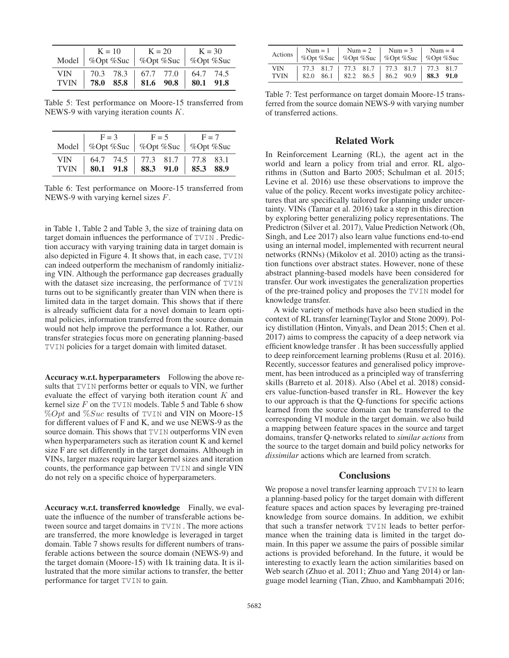|                                                   |  |                               | $K = 10$ $K = 20$ $K = 30$<br>Model   %Opt %Suc   %Opt %Suc   %Opt %Suc |  |  |
|---------------------------------------------------|--|-------------------------------|-------------------------------------------------------------------------|--|--|
| VIN 1<br>TVIN   78.0 85.8   81.6 90.8   80.1 91.8 |  | 70.3 78.3 67.7 77.0 64.7 74.5 |                                                                         |  |  |

Table 5: Test performance on Moore-15 transferred from NEWS-9 with varying iteration counts K.

|                           | $F = 3$<br>Model   %Opt %Suc   %Opt %Suc   %Opt %Suc |  |  |                                                             | $F = 5$ $F = 7$ |  |  |
|---------------------------|------------------------------------------------------|--|--|-------------------------------------------------------------|-----------------|--|--|
| <b>VIN</b><br><b>TVIN</b> |                                                      |  |  | 64.7 74.5 77.3 81.7 77.8 83.1 80.1 91.8 88.3 91.0 85.3 88.9 |                 |  |  |

Table 6: Test performance on Moore-15 transferred from NEWS-9 with varying kernel sizes F.

in Table 1, Table 2 and Table 3, the size of training data on target domain influences the performance of TVIN . Prediction accuracy with varying training data in target domain is also depicted in Figure 4. It shows that, in each case, TVIN can indeed outperform the mechanism of randomly initializing VIN. Although the performance gap decreases gradually with the dataset size increasing, the performance of TVIN turns out to be significantly greater than VIN when there is limited data in the target domain. This shows that if there is already sufficient data for a novel domain to learn optimal policies, information transferred from the source domain would not help improve the performance a lot. Rather, our transfer strategies focus more on generating planning-based TVIN policies for a target domain with limited dataset.

Accuracy w.r.t. hyperparameters Following the above results that TVIN performs better or equals to VIN, we further evaluate the effect of varying both iteration count  $K$  and kernel size  $F$  on the TVIN models. Table 5 and Table 6 show  $\%Opt$  and  $\%Suc$  results of TVIN and VIN on Moore-15 for different values of F and K, and we use NEWS-9 as the source domain. This shows that **TVIN** outperforms VIN even when hyperparameters such as iteration count K and kernel size F are set differently in the target domains. Although in VINs, larger mazes require larger kernel sizes and iteration counts, the performance gap between TVIN and single VIN do not rely on a specific choice of hyperparameters.

Accuracy w.r.t. transferred knowledge Finally, we evaluate the influence of the number of transferable actions between source and target domains in TVIN . The more actions are transferred, the more knowledge is leveraged in target domain. Table 7 shows results for different numbers of transferable actions between the source domain (NEWS-9) and the target domain (Moore-15) with 1k training data. It is illustrated that the more similar actions to transfer, the better performance for target TVIN to gain.

| Actions                   |  |  |                                                                                    | Num = 1   Num = 2   Num = 3   Num = 4<br>%Opt %Suc   %Opt %Suc   %Opt %Suc   %Opt %Suc |  |  |
|---------------------------|--|--|------------------------------------------------------------------------------------|----------------------------------------------------------------------------------------|--|--|
| <b>VIN</b><br><b>TVIN</b> |  |  | 77.3 81.7 77.3 81.7 77.3 81.7 77.3 81.7<br>82.0 86.1 82.2 86.5 86.2 90.9 88.3 91.0 |                                                                                        |  |  |

Table 7: Test performance on target domain Moore-15 transferred from the source domain NEWS-9 with varying number of transferred actions.

## Related Work

In Reinforcement Learning (RL), the agent act in the world and learn a policy from trial and error. RL algorithms in (Sutton and Barto 2005; Schulman et al. 2015; Levine et al. 2016) use these observations to improve the value of the policy. Recent works investigate policy architectures that are specifically tailored for planning under uncertainty. VINs (Tamar et al. 2016) take a step in this direction by exploring better generalizing policy representations. The Predictron (Silver et al. 2017), Value Prediction Network (Oh, Singh, and Lee 2017) also learn value functions end-to-end using an internal model, implemented with recurrent neural networks (RNNs) (Mikolov et al. 2010) acting as the transition functions over abstract states. However, none of these abstract planning-based models have been considered for transfer. Our work investigates the generalization properties of the pre-trained policy and proposes the TVIN model for knowledge transfer.

A wide variety of methods have also been studied in the context of RL transfer learning(Taylor and Stone 2009). Policy distillation (Hinton, Vinyals, and Dean 2015; Chen et al. 2017) aims to compress the capacity of a deep network via efficient knowledge transfer . It has been successfully applied to deep reinforcement learning problems (Rusu et al. 2016). Recently, successor features and generalised policy improvement, has been introduced as a principled way of transferring skills (Barreto et al. 2018). Also (Abel et al. 2018) considers value-function-based transfer in RL. However the key to our approach is that the Q-functions for specific actions learned from the source domain can be transferred to the corresponding VI module in the target domain. we also build a mapping between feature spaces in the source and target domains, transfer Q-networks related to *similar actions* from the source to the target domain and build policy networks for *dissimilar* actions which are learned from scratch.

## **Conclusions**

We propose a novel transfer learning approach TVIN to learn a planning-based policy for the target domain with different feature spaces and action spaces by leveraging pre-trained knowledge from source domains. In addition, we exhibit that such a transfer network TVIN leads to better performance when the training data is limited in the target domain. In this paper we assume the pairs of possible similar actions is provided beforehand. In the future, it would be interesting to exactly learn the action similarities based on Web search (Zhuo et al. 2011; Zhuo and Yang 2014) or language model learning (Tian, Zhuo, and Kambhampati 2016;